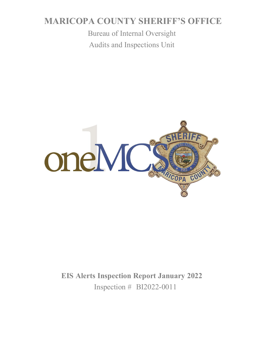# **MARICOPA COUNTY SHERIFF'S OFFICE**

Bureau of Internal Oversight Audits and Inspections Unit



**EIS Alerts Inspection Report January 2022** Inspection # BI2022-0011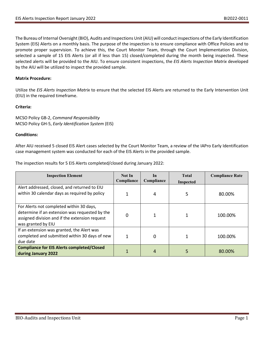The Bureau of Internal Oversight (BIO), Audits and Inspections Unit (AIU) will conduct inspections of the Early Identification System (EIS) Alerts on a monthly basis. The purpose of the inspection is to ensure compliance with Office Policies and to promote proper supervision. To achieve this, the Court Monitor Team, through the Court Implementation Division, selected a sample of 15 EIS Alerts (or all if less than 15) closed/completed during the month being inspected. These selected alerts will be provided to the AIU. To ensure consistent inspections, the *EIS Alerts Inspection Matrix* developed by the AIU will be utilized to inspect the provided sample.

### **Matrix Procedure:**

Utilize the *EIS Alerts Inspection Matrix* to ensure that the selected EIS Alerts are returned to the Early Intervention Unit (EIU) in the required timeframe.

### **Criteria:**

MCSO Policy GB-2, *Command Responsibility* MCSO Policy GH-5, *Early Identification System* (EIS)

### **Conditions:**

After AIU received 5 closed EIS Alert cases selected by the Court Monitor Team, a review of the IAPro Early Identification case management system was conducted for each of the EIS Alerts in the provided sample.

The inspection results for 5 EIS Alerts completed/closed during January 2022:

| <b>Inspection Element</b>                                                                                                                                          | Not In<br>Compliance | In<br>Compliance | <b>Total</b><br><b>Inspected</b> | <b>Compliance Rate</b> |
|--------------------------------------------------------------------------------------------------------------------------------------------------------------------|----------------------|------------------|----------------------------------|------------------------|
| Alert addressed, closed, and returned to EIU<br>within 30 calendar days as required by policy                                                                      |                      | 4                | 5                                | 80.00%                 |
| For Alerts not completed within 30 days,<br>determine if an extension was requested by the<br>assigned division and if the extension request<br>was granted by EIU | 0                    |                  |                                  | 100.00%                |
| If an extension was granted, the Alert was<br>completed and submitted within 30 days of new<br>due date                                                            |                      | 0                |                                  | 100.00%                |
| <b>Compliance for EIS Alerts completed/Closed</b><br>during January 2022                                                                                           |                      | 4                | 5                                | 80.00%                 |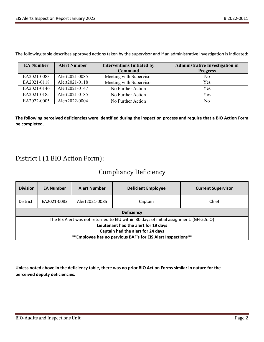The following table describes approved actions taken by the supervisor and if an administrative investigation is indicated:

| <b>EA Number</b> | <b>Alert Number</b> | <b>Interventions Initiated by</b> | <b>Administrative Investigation in</b> |
|------------------|---------------------|-----------------------------------|----------------------------------------|
|                  |                     | Command                           | <b>Progress</b>                        |
| EA2021-0083      | Alert2021-0085      | Meeting with Supervisor           | No                                     |
| EA2021-0118      | Alert2021-0118      | Meeting with Supervisor           | Yes                                    |
| EA2021-0146      | Alert2021-0147      | No Further Action                 | Yes                                    |
| EA2021-0185      | Alert2021-0185      | No Further Action                 | Yes                                    |
| EA2022-0005      | Alert2022-0004      | No Further Action                 | No                                     |

**The following perceived deficiencies were identified during the inspection process and require that a BIO Action Form be completed.** 

## District I (1 BIO Action Form):

### Compliancy Deficiency

| <b>Division</b>                                                                                                                                                                                                                       | <b>EA Number</b> | <b>Alert Number</b> | <b>Deficient Employee</b> | <b>Current Supervisor</b> |  |
|---------------------------------------------------------------------------------------------------------------------------------------------------------------------------------------------------------------------------------------|------------------|---------------------|---------------------------|---------------------------|--|
| District I                                                                                                                                                                                                                            | EA2021-0083      | Alert2021-0085      | Captain                   | Chief                     |  |
| <b>Deficiency</b>                                                                                                                                                                                                                     |                  |                     |                           |                           |  |
| The EIS Alert was not returned to EIU within 30 days of initial assignment. (GH-5.5. Q)<br>Lieutenant had the alert for 19 days<br>Captain had the alert for 24 days<br>** Employee has no pervious BAF's for EIS Alert Inspections** |                  |                     |                           |                           |  |

**Unless noted above in the deficiency table, there was no prior BIO Action Forms similar in nature for the perceived deputy deficiencies.**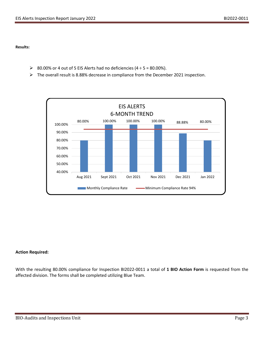**Results:**

- 80.00% or 4 out of 5 EIS Alerts had no deficiencies  $(4 \div 5 = 80.00\%)$ .
- The overall result is 8.88% decrease in compliance from the December 2021 inspection.



### **Action Required:**

With the resulting 80.00% compliance for Inspection BI2022-0011 a total of **1 BIO Action Form** is requested from the affected division. The forms shall be completed utilizing Blue Team.